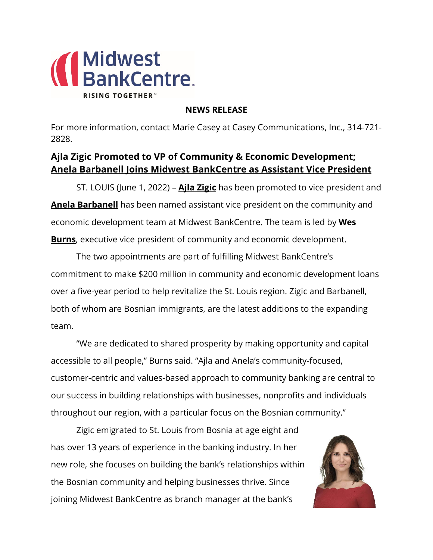

## **NEWS RELEASE**

For more information, contact Marie Casey at Casey Communications, Inc., 314-721- 2828.

## **Ajla Zigic Promoted to VP of Community & Economic Development; Anela Barbanell Joins Midwest BankCentre as Assistant Vice President**

ST. LOUIS (June 1, 2022) – **Ajla Zigic** has been promoted to vice president and **Anela Barbanell** has been named assistant vice president on the community and economic development team at Midwest BankCentre. The team is led by **Wes Burns**, executive vice president of community and economic development.

The two appointments are part of fulfilling Midwest BankCentre's commitment to make \$200 million in community and economic development loans over a five-year period to help revitalize the St. Louis region. Zigic and Barbanell, both of whom are Bosnian immigrants, are the latest additions to the expanding team.

"We are dedicated to shared prosperity by making opportunity and capital accessible to all people," Burns said. "Ajla and Anela's community-focused, customer-centric and values-based approach to community banking are central to our success in building relationships with businesses, nonprofits and individuals throughout our region, with a particular focus on the Bosnian community."

Zigic emigrated to St. Louis from Bosnia at age eight and has over 13 years of experience in the banking industry. In her new role, she focuses on building the bank's relationships within the Bosnian community and helping businesses thrive. Since joining Midwest BankCentre as branch manager at the bank's

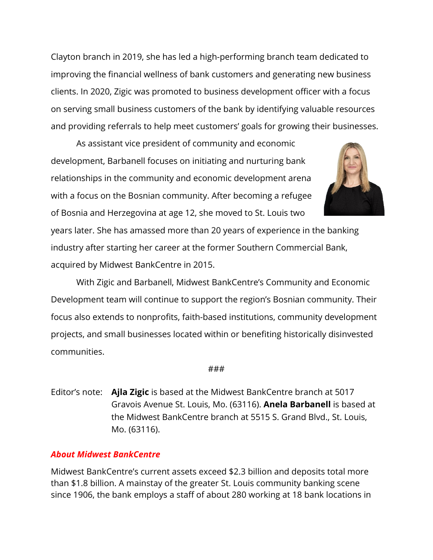Clayton branch in 2019, she has led a high-performing branch team dedicated to improving the financial wellness of bank customers and generating new business clients. In 2020, Zigic was promoted to business development officer with a focus on serving small business customers of the bank by identifying valuable resources and providing referrals to help meet customers' goals for growing their businesses.

As assistant vice president of community and economic development, Barbanell focuses on initiating and nurturing bank relationships in the community and economic development arena with a focus on the Bosnian community. After becoming a refugee of Bosnia and Herzegovina at age 12, she moved to St. Louis two



years later. She has amassed more than 20 years of experience in the banking industry after starting her career at the former Southern Commercial Bank, acquired by Midwest BankCentre in 2015.

With Zigic and Barbanell, Midwest BankCentre's Community and Economic Development team will continue to support the region's Bosnian community. Their focus also extends to nonprofits, faith-based institutions, community development projects, and small businesses located within or benefiting historically disinvested communities.

## ###

Editor's note: **Ajla Zigic** is based at the Midwest BankCentre branch at 5017 Gravois Avenue St. Louis, Mo. (63116). **Anela Barbanell** is based at the Midwest BankCentre branch at 5515 S. Grand Blvd., St. Louis, Mo. (63116).

## *About Midwest BankCentre*

Midwest BankCentre's current assets exceed \$2.3 billion and deposits total more than \$1.8 billion. A mainstay of the greater St. Louis community banking scene since 1906, the bank employs a staff of about 280 working at 18 bank locations in